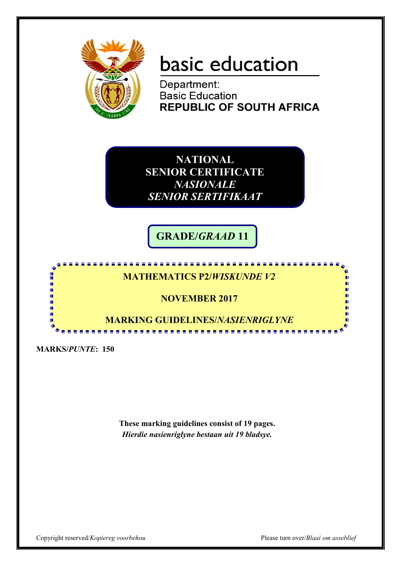

# basic education

Department: **Basic Education REPUBLIC OF SOUTH AFRICA** 

**NATIONAL SENIOR CERTIFICATE**  *NASIONALE SENIOR SERTIFIKAAT*

**GRADE/***GRAAD* **11**

# **MATHEMATICS P2/***WISKUNDE V2*

<u>. . . . . . . . . . . . . . .</u>

## **NOVEMBER 2017**

**MARKING GUIDELINES/***NASIENRIGLYNE*

.....................

**MARKS/***PUNTE***: 150**

H ı. II. 庫 'n т т

> **These marking guidelines consist of 19 pages.** *Hierdie nasienriglyne bestaan uit 19 bladsye.*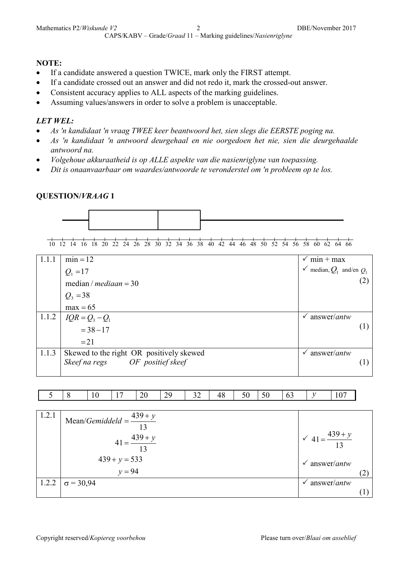#### **NOTE:**

- If a candidate answered a question TWICE, mark only the FIRST attempt.
- If a candidate crossed out an answer and did not redo it, mark the crossed-out answer.
- Consistent accuracy applies to ALL aspects of the marking guidelines.
- Assuming values/answers in order to solve a problem is unacceptable.

#### *LET WEL:*

- *As 'n kandidaat 'n vraag TWEE keer beantwoord het, sien slegs die EERSTE poging na.*
- *As 'n kandidaat 'n antwoord deurgehaal en nie oorgedoen het nie, sien die deurgehaalde antwoord na.*
- *Volgehoue akkuraatheid is op ALLE aspekte van die nasienriglyne van toepassing.*
- *Dit is onaanvaarbaar om waardes/antwoorde te veronderstel om 'n probleem op te los.*

#### **QUESTION/***VRAAG* **1**



10 12 14 16 18 20 22 24 26 28 30 32 34 36 38 40 42 44 46 48 50 52 54 56 58 60 62 64 66

| 1.1.1 | $min = 12$                               | $\checkmark$ min + max                  |
|-------|------------------------------------------|-----------------------------------------|
|       | $Q_1 = 17$                               | $\checkmark$ median, $Q_1$ and/en $Q_2$ |
|       | median / $median = 30$                   |                                         |
|       | $Q_3 = 38$                               |                                         |
|       | $max = 65$                               |                                         |
| 1.1.2 | $IQR = Q_3 - Q_1$                        | $\sqrt{}$ answer/ <i>antw</i>           |
|       | $= 38 - 17$                              |                                         |
|       | $=21$                                    |                                         |
| 1.1.3 | Skewed to the right OR positively skewed | answer/ <i>antw</i><br>✓                |
|       | Skeef na regs OF positief skeef          |                                         |
|       |                                          |                                         |

|  | $\sim$ | $\overline{\phantom{a}}$<br>$\overline{\phantom{a}}$ | 20<br>$\sim$ | $\bigcap$<br>∼<br>ر سه<br>__ | - -<br>. .<br>-- | A C<br>ு | $-$ | 50 | $\overline{a}$<br>◡ | $\sim$<br>v |
|--|--------|------------------------------------------------------|--------------|------------------------------|------------------|----------|-----|----|---------------------|-------------|

| 1.2.1 | Mean/ <i>Gemiddeld</i> = $\frac{439 + y}{4}$<br>$41 = \frac{439 + y}{13}$<br>$439 + y = 533$ | $\sqrt{41} = \frac{439 + y}{13}$             |  |
|-------|----------------------------------------------------------------------------------------------|----------------------------------------------|--|
|       | $y = 94$                                                                                     | $\checkmark$ answer/ <i>antw</i>             |  |
| 1.2.2 | $\sigma = 30,94$                                                                             | $\hat{a}$ nswer/ <i>antw</i><br>$\checkmark$ |  |
|       |                                                                                              |                                              |  |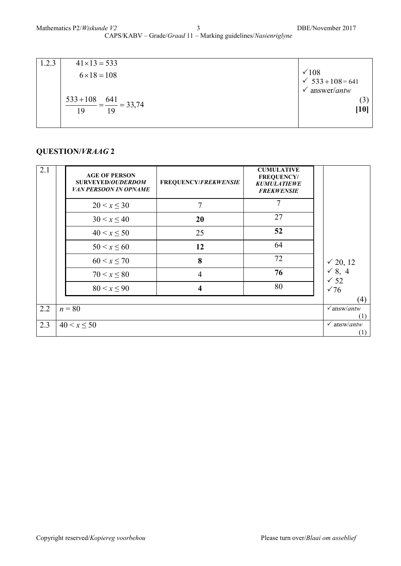| 1.2.3 | $41 \times 13 = 533$                          |                                          |
|-------|-----------------------------------------------|------------------------------------------|
|       | $6 \times 18 = 108$                           | $\sqrt{108}$<br>$\checkmark$ 533+108=641 |
|       |                                               | answer/antw<br>✓                         |
|       | $\frac{533+108}{10} = \frac{641}{10} = 33,74$ | (3)                                      |
|       | 1 Q<br>19                                     | $[10]$                                   |
|       |                                               |                                          |

| 2.1 | <b>AGE OF PERSON</b><br><b>SURVEYED/OUDERDOM</b><br><b>VAN PERSOON IN OPNAME</b> | FREQUENCY/FREKWENSIE    | <b>CUMULATIVE</b><br><b>FREQUENCY/</b><br><b>KUMULATIEWE</b><br><b>FREKWENSIE</b> |                                      |
|-----|----------------------------------------------------------------------------------|-------------------------|-----------------------------------------------------------------------------------|--------------------------------------|
|     | $20 < x \leq 30$                                                                 | $\overline{7}$          | 7                                                                                 |                                      |
|     | $30 < x \leq 40$                                                                 | 20                      | 27                                                                                |                                      |
|     | $40 < x \le 50$                                                                  | 25                      | 52                                                                                |                                      |
|     | $50 < x \le 60$                                                                  | 12                      | 64                                                                                |                                      |
|     | $60 < x \le 70$                                                                  | 8                       | 72                                                                                | √ 20, 12                             |
|     | $70 < x \le 80$                                                                  | $\overline{4}$          | 76                                                                                | $\checkmark$ 8, 4<br>$\checkmark$ 52 |
|     | $80 < x \leq 90$                                                                 | $\overline{\mathbf{4}}$ | 80                                                                                | $\sqrt{76}$                          |
|     |                                                                                  |                         |                                                                                   | (4)                                  |
| 2.2 | $n = 80$                                                                         |                         |                                                                                   | $\sqrt{answ/antw}$<br>(1)            |
| 2.3 | $40 < x \le 50$                                                                  |                         |                                                                                   | $\checkmark$ answ/antw<br>(1)        |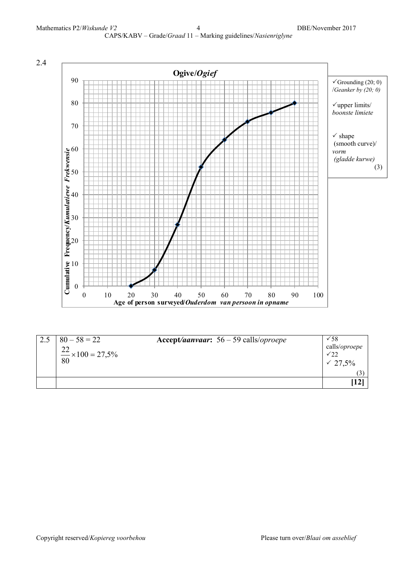

| $80 - 58 = 22$<br>$\frac{22}{80} \times 100 = 27,5\%$ | Accept/aanvaar: $56 - 59$ calls/oproepe | $\sqrt{58}$<br>calls/oproepe<br>$\sqrt{22}$<br>$\sqrt{27.5\%}$ |
|-------------------------------------------------------|-----------------------------------------|----------------------------------------------------------------|
|                                                       |                                         | $\left( 3 \right)$<br> 12                                      |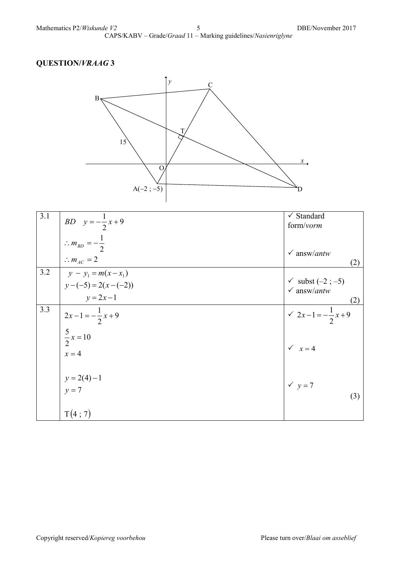CAPS/KABV – Grade/*Graad* 11 – Marking guidelines/*Nasienriglyne*



| 3.1 | <i>BD</i> $y = -\frac{1}{2}x + 9$  | $\checkmark$ Standard         |
|-----|------------------------------------|-------------------------------|
|     |                                    | form/vorm                     |
|     | $\therefore m_{BD} = -\frac{1}{2}$ |                               |
|     |                                    | $\checkmark$ answ/antw        |
|     | $\therefore m_{AC} = 2$            | (2)                           |
| 3.2 | $y - y_1 = m(x - x_1)$             |                               |
|     | $y-(-5)=2(x-(-2))$                 | $\checkmark$ subst (-2; -5)   |
|     | $y = 2x-1$                         | $\checkmark$ answ/antw        |
|     |                                    | (2)                           |
| 3.3 | $2x-1=-\frac{1}{2}x+9$             | $\sqrt{2x-1}=-\frac{1}{2}x+9$ |
|     | $\frac{5}{2}x = 10$                |                               |
|     |                                    |                               |
|     | $x=4$                              | $\sqrt{x} = 4$                |
|     |                                    |                               |
|     | $y = 2(4) - 1$                     |                               |
|     | $y = 7$                            | $\checkmark$ y = 7            |
|     |                                    | (3)                           |
|     |                                    |                               |
|     | T(4; 7)                            |                               |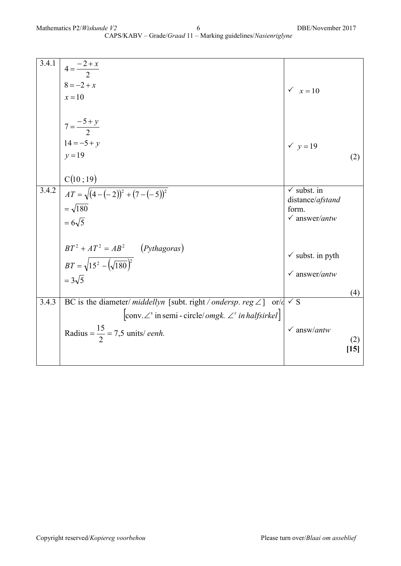| 3.4.1              | $4 = \frac{-2 + x}{2}$<br>8 = -2 + x<br>$x=10$                                                                                                                                                            | $\sqrt{x} = 10$                                                                 |               |
|--------------------|-----------------------------------------------------------------------------------------------------------------------------------------------------------------------------------------------------------|---------------------------------------------------------------------------------|---------------|
|                    | $7 = \frac{-5 + y}{2}$                                                                                                                                                                                    |                                                                                 |               |
|                    | $14 = -5 + y$<br>$y = 19$<br>C(10; 19)                                                                                                                                                                    | $\checkmark$ y = 19                                                             | (2)           |
| $3.\overline{4.2}$ | $AT = \sqrt{(4 - (-2))^2 + (7 - (-5))^2}$<br>$=\sqrt{180}$<br>$=6\sqrt{5}$                                                                                                                                | $\checkmark$ subst. in<br>distance/afstand<br>form.<br>$\checkmark$ answer/antw |               |
|                    | $BT^2 + AT^2 = AB^2$ (Pythagoras)<br>$BT = \sqrt{15^2 - (\sqrt{180})^2}$<br>$=3\sqrt{5}$                                                                                                                  | $\checkmark$ subst. in pyth<br>$\checkmark$ answer/antw                         | (4)           |
| 3.4.3              | BC is the diameter/ <i>middellyn</i> [subt. right/ <i>ondersp. reg</i> $\angle$ ] or/ $\frac{d}{dx}$ of $\frac{d}{dx}$<br>$ conv \angle^s$ in semi - circle/ <i>omgk.</i> $\angle^s$ <i>in halfsirkel</i> |                                                                                 |               |
|                    | Radius = $\frac{15}{2}$ = 7,5 units/ eenh.                                                                                                                                                                | $\checkmark$ answ/antw                                                          | (2)<br>$[15]$ |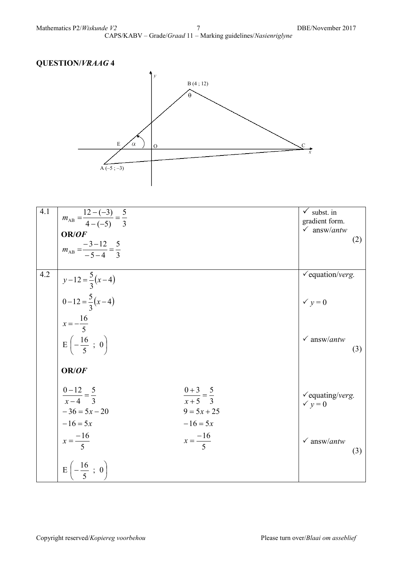

| 4.1 | $m_{AB} = \frac{12 - (-3)}{4 - (-5)} = \frac{5}{3}$<br>OR/OF<br>$m_{AB} = \frac{-3-12}{-5-4} = \frac{5}{3}$ |                                                    | $\checkmark$ subst. in<br>gradient form.<br>$\checkmark$ answ/antw<br>(2) |  |
|-----|-------------------------------------------------------------------------------------------------------------|----------------------------------------------------|---------------------------------------------------------------------------|--|
| 4.2 | $y-12=\frac{5}{3}(x-4)$<br>$0-12=\frac{5}{3}(x-4)$<br>$x = -\frac{16}{5}$                                   |                                                    | $\checkmark$ equation/verg.<br>$\checkmark$ y = 0                         |  |
|     | $E\left(-\frac{16}{5} \ ; \ 0\right)$<br>OR/OF<br>$\frac{0-12}{x-4} = \frac{5}{3}$                          | $\frac{0+3}{x+5} = \frac{5}{3}$                    | $\checkmark$ answ/ <i>antw</i><br>(3)<br>$\checkmark$ equating/verg.      |  |
|     | $-36 = 5x - 20$<br>$-16 = 5x$<br>$x = \frac{-16}{5}$                                                        | $9 = 5x + 25$<br>$-16 = 5x$<br>$x = \frac{-16}{5}$ | $\checkmark$ y = 0<br>$\checkmark$ answ/antw<br>(3)                       |  |
|     | $E\left(-\frac{16}{5} \; ; \; 0\right)$                                                                     |                                                    |                                                                           |  |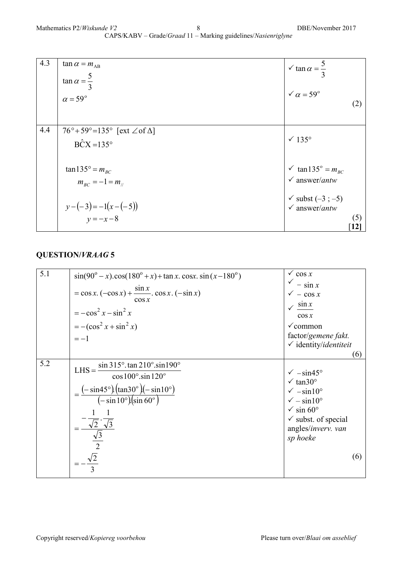| 4.3 | $\tan \alpha = m_{AB}$<br>$\tan \alpha = \frac{5}{3}$<br>$\alpha = 59^\circ$                    | $\sqrt{\tan \alpha} = \frac{5}{3}$<br>$\sqrt{\alpha} = 59^{\circ}$                                                     | (2)        |
|-----|-------------------------------------------------------------------------------------------------|------------------------------------------------------------------------------------------------------------------------|------------|
| 4.4 | $76^\circ + 59^\circ = 135^\circ$ [ext $\angle$ of $\Delta$ ]<br>$\angle B\hat{C}X = 135^\circ$ | $\sqrt{135^\circ}$                                                                                                     |            |
|     | $\tan 135^\circ = m_{BC}$<br>$m_{BC} = -1 = m_{ii}$<br>$y-(-3) = -1(x-(-5))$<br>$y = -x - 8$    | $\checkmark$ tan135° = $m_{BC}$<br>$\checkmark$ answer/antw<br>$\checkmark$ subst (-3; -5)<br>$\checkmark$ answer/antw | (5)<br> 12 |

| 5.1 | $sin(90^\circ - x) \cdot cos(180^\circ + x) + tan x \cdot cosx \cdot sin(x - 180^\circ)$<br>$=$ cos x. $(-cos x) + \frac{sin x}{sin x}$ . cos x. $(-sin x)$<br>$\cos x$<br>$=-\cos^2 x - \sin^2 x$<br>$=-(\cos^2 x + \sin^2 x)$<br>$=-1$                                             | $\sqrt{\cos x}$<br>$-\sin x$<br>$\sqrt{-\cos x}$<br>$\sqrt{\sin x}$<br>$\cos x$<br>$\checkmark$ common<br>factor/gemene fakt.<br>$\checkmark$ identity/identiteit<br>(6)                                |
|-----|--------------------------------------------------------------------------------------------------------------------------------------------------------------------------------------------------------------------------------------------------------------------------------------|---------------------------------------------------------------------------------------------------------------------------------------------------------------------------------------------------------|
| 5.2 | $\sin 315^\circ$ . $\tan 210^\circ \sin 190^\circ$<br>$LHS =$<br>$\cos 100^\circ \cdot \sin 120^\circ$<br>$=\frac{(-\sin 45^\circ)(\tan 30^\circ)(-\sin 10^\circ)}{(-\sin 10^\circ)(\sin 60^\circ)}$<br>$\frac{1}{\sqrt{2}} \cdot \frac{\sqrt{3}}{\sqrt{3}}$<br>$\frac{\sqrt{3}}{2}$ | $\sqrt{-\sin 45^\circ}$<br>$\sqrt{\tan 30^\circ}$<br>$\sqrt{-\sin 10^\circ}$<br>$\sqrt{}$ – sin10°<br>$\sqrt{\sin 60^\circ}$<br>$\checkmark$ subst. of special<br>angles/inverv. van<br>sp hoeke<br>(6) |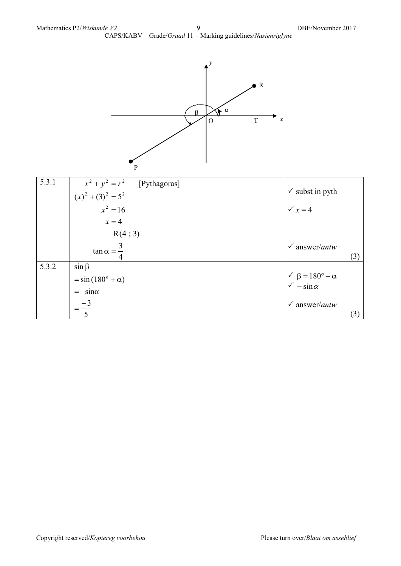CAPS/KABV – Grade/*Graad* 11 – Marking guidelines/*Nasienriglyne*



| 5.3.1 | $x^{2} + y^{2} = r^{2}$ [Pythagoras]<br>$(x)^{2} + (3)^{2} = 5^{2}$ | $\checkmark$ subst in pyth                                            |
|-------|---------------------------------------------------------------------|-----------------------------------------------------------------------|
|       | $x^2 = 16$                                                          | $\sqrt{x} = 4$                                                        |
|       | $x=4$                                                               |                                                                       |
|       | R(4; 3)                                                             |                                                                       |
|       | $\tan \alpha = \frac{3}{2}$                                         | $\checkmark$ answer/antw<br>(3)                                       |
| 5.3.2 | $\sin \beta$                                                        |                                                                       |
|       | $=$ sin (180 <sup>°</sup> + $\alpha$ )                              | $\sqrt{\beta} = 180^{\circ} + \alpha$<br>$\sqrt{\beta} = \sin \alpha$ |
|       | $=-\sin\alpha$                                                      |                                                                       |
|       | $=\frac{-3}{2}$                                                     | $\checkmark$ answer/antw                                              |
|       |                                                                     | (3)                                                                   |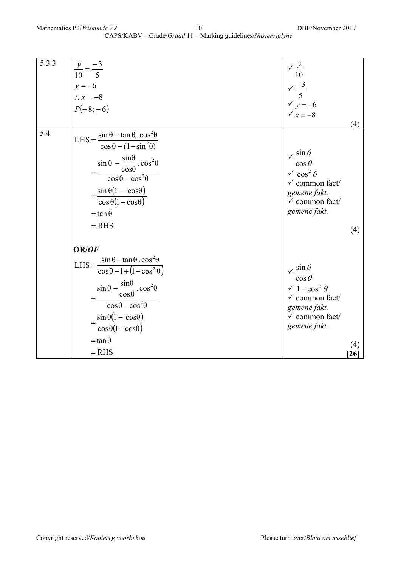| 5.3.3 | $\begin{vmatrix} y \\ \frac{y}{10} = \frac{-3}{5} \\ y = -6 \\ \therefore x = -8 \\ P(-8; -6) \end{vmatrix}$                                                                                                                                                                                                                       | $\sqrt{\frac{y}{10}}$<br>$\sqrt{-3}$<br>$\sqrt{y} = -6$<br>$\sqrt{x} = -8$                                                                                            | (4)  |
|-------|------------------------------------------------------------------------------------------------------------------------------------------------------------------------------------------------------------------------------------------------------------------------------------------------------------------------------------|-----------------------------------------------------------------------------------------------------------------------------------------------------------------------|------|
| 5.4.  | LHS = $\frac{\sin \theta - \tan \theta \cdot \cos^2 \theta}{\sin \theta}$<br>$\cos\theta - (1 - \sin^2\theta)$<br>$\frac{\sin \theta - \frac{\sin \theta}{\cos \theta} \cdot \cos^2 \theta}{\cos \theta - \cos^2 \theta}$<br>$=\frac{\sin \theta (1 - \cos \theta)}{\cos \theta (1 - \cos \theta)}$<br>$=$ tan $\theta$<br>$= RHS$ | $\sqrt{\sin \theta}$<br>$\overline{\cos \theta}$<br>$\sqrt{\cos^2{\theta}}$<br>$\checkmark$ common fact/<br>gemene fakt.<br>$\checkmark$ common fact/<br>gemene fakt. | (4)  |
|       | OR/OF<br>LHS = $\frac{\sin \theta - \tan \theta \cdot \cos^2 \theta}{\cos \theta - 1 + (1 - \cos^2 \theta)}$<br>$\sin\theta - \frac{\sin\theta}{\cos\theta} \cdot \cos^2\theta$<br>$\overline{\cos\theta-\cos^2\theta}$<br>$=\frac{\sin\theta(1-\cos\theta)}{\cos\theta(1-\cos\theta)}$<br>$=$ tan $\theta$                        | $\sqrt{\frac{\sin \theta}{\cos \theta}}$<br>$\sqrt{1-\cos^2\theta}$<br>$\checkmark$ common fact/<br>gemene fakt.<br>$\checkmark$ common fact/<br>gemene fakt.         | (4)  |
|       | $= RHS$                                                                                                                                                                                                                                                                                                                            |                                                                                                                                                                       | [26] |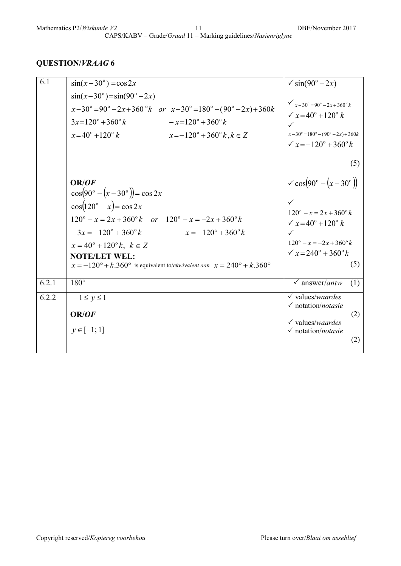| 6.1   | $\sin(x-30^\circ) = \cos 2x$                                                                                                                                                                                                                                                                                                                                                                                                   | $\sqrt{\sin(90^\circ - 2x)}$                                                                                                                                                                              |
|-------|--------------------------------------------------------------------------------------------------------------------------------------------------------------------------------------------------------------------------------------------------------------------------------------------------------------------------------------------------------------------------------------------------------------------------------|-----------------------------------------------------------------------------------------------------------------------------------------------------------------------------------------------------------|
|       | $sin(x-30^{\circ}) = sin(90^{\circ} - 2x)$<br>$x-30^{\circ} = 90^{\circ} - 2x + 360^{\circ}k$ or $x-30^{\circ} = 180^{\circ} - (90^{\circ} - 2x) + 360k$<br>$3x=120^{\circ}+360^{\circ}k$<br>$-x=120^{\circ}+360^{\circ} k$<br>$x=40^{\circ}+120^{\circ} k$<br>$x=-120^{\circ}+360^{\circ}k, k \in Z$                                                                                                                          | $\sqrt{x-30^\circ} = 90^\circ - 2x + 360^\circ k$<br>$\sqrt{x} = 40^{\circ} + 120^{\circ} k$<br>✓<br>$x-30^{\circ} = 180^{\circ} - (90^{\circ} - 2x) + 360k$<br>$\sqrt{x} = -120^{\circ} + 360^{\circ} k$ |
|       | OR/OF                                                                                                                                                                                                                                                                                                                                                                                                                          | (5)<br>$\sim$ cos(90° – (x – 30°))                                                                                                                                                                        |
|       | $\cos(90^\circ - (x - 30^\circ)) = \cos 2x$<br>$\cos(120^\circ - x) = \cos 2x$<br>$120^{\circ} - x = 2x + 360^{\circ} k$ or $120^{\circ} - x = -2x + 360^{\circ} k$<br>$-3x = -120^{\circ} + 360^{\circ} k$ $x = -120^{\circ} + 360^{\circ} k$<br>$x = 40^{\circ} + 120^{\circ} k$ , $k \in Z$<br><b>NOTE/LET WEL:</b><br>$x = -120^{\circ} + k.360^{\circ}$ is equivalent to/ekwivalent aan $x = 240^{\circ} + k.360^{\circ}$ | $120^{\circ} - x = 2x + 360^{\circ} k$<br>$\sqrt{x} = 40^{\circ} + 120^{\circ} k$<br>$\checkmark$<br>$120^{\circ} - x = -2x + 360^{\circ} k$<br>$\sqrt{x} = 240^\circ + 360^\circ k$<br>(5)               |
| 6.2.1 | $180^\circ$                                                                                                                                                                                                                                                                                                                                                                                                                    | $\checkmark$ answer/antw<br>(1)                                                                                                                                                                           |
| 6.2.2 | $-1 \le y \le 1$<br>OR/OF<br>$y \in [-1; 1]$                                                                                                                                                                                                                                                                                                                                                                                   | $\checkmark$ values/waardes<br>$\checkmark$ notation/notasie<br>(2)<br>$\checkmark$ values/waardes<br>$\checkmark$ notation/notasie<br>(2)                                                                |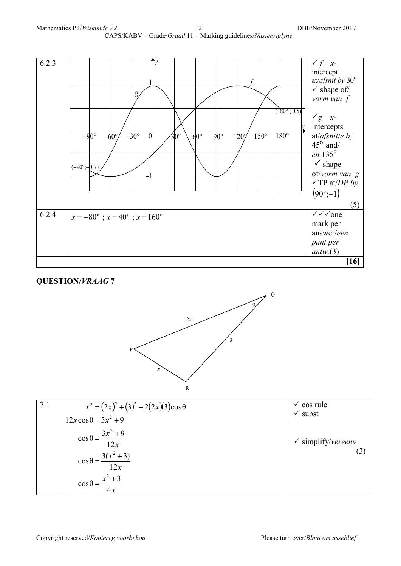



| 7.1 | $x^{2} = (2x)^{2} + (3)^{2} - 2(2x)(3)\cos\theta$ | $\checkmark$ cos rule         |
|-----|---------------------------------------------------|-------------------------------|
|     | $12x\cos\theta = 3x^2 + 9$                        | $\checkmark$ subst            |
|     | $\cos\theta = \frac{3x^2 + 9}{12x}$               | $\checkmark$ simplify/vereenv |
|     | $\cos \theta = \frac{3(x^2 + 3)}{12x}$            | (3)                           |
|     | $x^2 + 3$<br>$\cos\theta =$<br>4x                 |                               |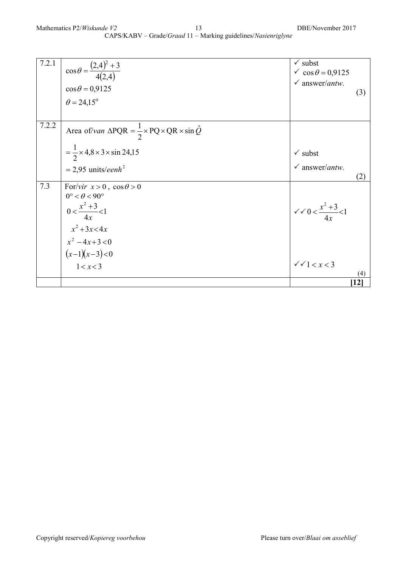| 7.2.1 | $\cos \theta = \frac{(2,4)^2 + 3}{4(2,4)}$<br>$\cos\theta = 0.9125$<br>$\theta = 24,15^{\circ}$                                                                               | $\checkmark$ subst<br>$\sqrt{\cos \theta} = 0.9125$<br>$\checkmark$ answer/antw. | (3)                    |
|-------|-------------------------------------------------------------------------------------------------------------------------------------------------------------------------------|----------------------------------------------------------------------------------|------------------------|
| 7.2.2 | Area of/van $\triangle PQR = \frac{1}{2} \times PQ \times QR \times \sin \hat{Q}$<br>$=\frac{1}{2} \times 4.8 \times 3 \times \sin 24.15$<br>$= 2.95$ units/eenh <sup>2</sup> | $\checkmark$ subst<br>$\checkmark$ answer/antw.                                  |                        |
| 7.3   | For/vir $x > 0$ , $\cos \theta > 0$<br>$0^{\circ} < \theta < 90^{\circ}$<br>$0 < \frac{x^2 + 3}{4x} < 1$<br>$x^2 + 3x < 4x$                                                   | $\sqrt{x}$ $0 < \frac{x^2 + 3}{4x} < 1$                                          | (2)                    |
|       | $x^2 - 4x + 3 < 0$<br>$(x-1)(x-3) < 0$<br>1 < x < 3                                                                                                                           | $\sqrt{1} < x < 3$                                                               | (4)<br>$\mathbf{[12]}$ |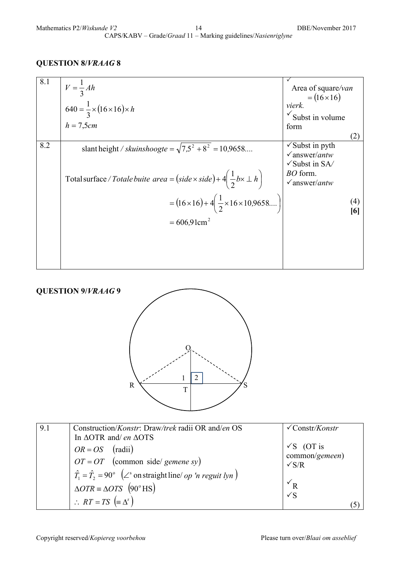| 8.1 | $V = \frac{1}{3} Ah$<br>$640 = \frac{1}{3} \times (16 \times 16) \times h$<br>$h = 7,5cm$                                                                      | Area of square/van<br>$=(16\times16)$<br>vierk.<br>$\checkmark$ Subst in volume<br>form                                              |
|-----|----------------------------------------------------------------------------------------------------------------------------------------------------------------|--------------------------------------------------------------------------------------------------------------------------------------|
| 8.2 | slant height / skuinshoogte = $\sqrt{7.5^2 + 8^2}$ = 10,9658<br>Total surface / Totale buite area = $(side \times side) + 4\left(\frac{1}{2}bx \perp h\right)$ | (2)<br>$\checkmark$ Subst in pyth<br>$\sqrt{answer/antw}$<br>$\sqrt{\text{Subst}}$ in SA/<br><i>BO</i> form.<br>$\sqrt{answer/antw}$ |
|     | $=(16\times16)+4\left(\frac{1}{2}\times16\times10,9658 \right)$<br>$= 606.91 \text{cm}^2$                                                                      |                                                                                                                                      |



| 9.1 | Construction/Konstr: Draw/trek radii OR and/en OS<br>In $\triangle OTR$ and/en $\triangle OTS$                                               | $\sqrt{\text{Constr/Konstr}}$                           |
|-----|----------------------------------------------------------------------------------------------------------------------------------------------|---------------------------------------------------------|
|     | $OR = OS$ (radii)<br>$OT = OT$ (common side/ gemene sy)                                                                                      | $\sqrt{S}$ (OT is<br>common/gemeen)<br>$\sqrt{\rm S/R}$ |
|     | $\hat{T}_1 = \hat{T}_2 = 90^\circ$ ( $\angle^s$ on straight line/ <i>op 'n reguit lyn</i> )<br>$\triangle OTR \equiv \triangle OTS$ (90° HS) | $V_{R}$                                                 |
|     | $\therefore RT = TS \equiv \Delta^s$                                                                                                         | $\sqrt{S}$                                              |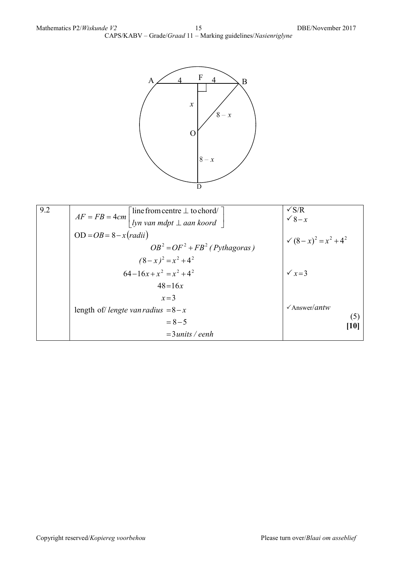

| 9.2 | $\lceil$ line from centre $\perp$ to chord/                       | $\sqrt{s/R}$                         |
|-----|-------------------------------------------------------------------|--------------------------------------|
|     | $AF = FB = 4cm$<br>  lyn van mdpt $\perp$ aan koord $\frac{1}{2}$ | $\sqrt{8-x}$                         |
|     | $OD = OB = 8 - x(radii)$                                          | $\sqrt{(8-x)^2} = x^2 + 4^2$         |
|     | $OB^2 = OF^2 + FB^2$ (Pythagoras)                                 |                                      |
|     | $(8-x)^2 = x^2 + 4^2$                                             |                                      |
|     | $64-16x+x^2 = x^2+4^2$                                            | $\sqrt{x} = 3$                       |
|     | $48 = 16x$                                                        |                                      |
|     | $x=3$                                                             |                                      |
|     | length of/ <i>lengte van radius</i> $=8-x$                        | $\sqrt{\text{Answer}}$ / <i>antw</i> |
|     | $= 8 - 5$                                                         | (5)<br>[10]                          |
|     | $=3$ units / eenh                                                 |                                      |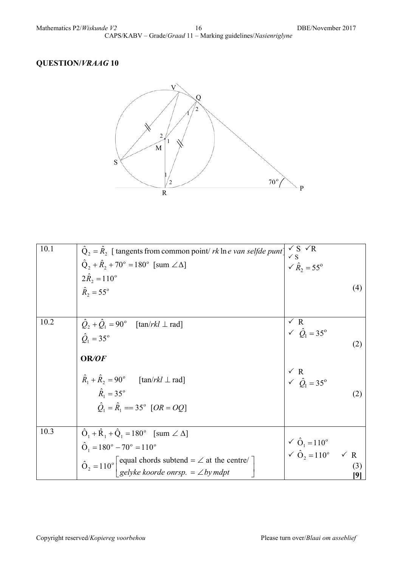

| 10.1 | $\hat{Q}_2 = \hat{R}_2$ [ tangents from common point/ rk ln e van selfde punt]<br>$\hat{Q}_{2} + \hat{R}_{2} + 70^{\circ} = 180^{\circ}$ [sum $\angle \Delta$ ]<br>$2\hat{R}_2 = 110^{\circ}$                                                                 | $\sqrt{S}$ $\sqrt{R}$<br>$\sqrt{S}$<br>$\sqrt{R}$ <sub>2</sub> = 55 <sup>o</sup>   |
|------|---------------------------------------------------------------------------------------------------------------------------------------------------------------------------------------------------------------------------------------------------------------|------------------------------------------------------------------------------------|
|      | $\hat{R}_2 = 55^{\circ}$                                                                                                                                                                                                                                      | (4)                                                                                |
| 10.2 | $Q_2 + Q_1 = 90^\circ$ [tan/rkl $\perp$ rad]<br>$\hat{O}_1 = 35^{\circ}$                                                                                                                                                                                      | $\sqrt{R}$<br>$\sqrt{Q_1} = 35^\circ$<br>(2)                                       |
|      | OR/OF<br>$\hat{R}_1 + \hat{R}_2 = 90^\circ$ [tan/rkl $\perp$ rad]<br>$\hat{R}_{1} = 35^{\circ}$<br>$\hat{O}_1 = \hat{R}_1 = 35^\circ$ [OR = OQ]                                                                                                               | $\angle$ R<br>$\angle$ $\hat{Q}_1 = 35^\circ$<br>(2)                               |
| 10.3 | $\hat{O}_1 + \hat{R}_1 + \hat{Q}_1 = 180^\circ$ [sum $\angle \Delta$ ]<br>$\hat{O}_1 = 180^\circ - 70^\circ = 110^\circ$<br>$\hat{O}_2 = 110^\circ \begin{bmatrix}$ equal chords subtend = $\angle$ at the centre/<br>gelyke koorde onrsp. = $\angle$ by mdpt | $\angle \hat{O}_1 = 110^\circ$<br>$\angle \hat{O}_2 = 110^\circ$ $\angle R$<br>(3) |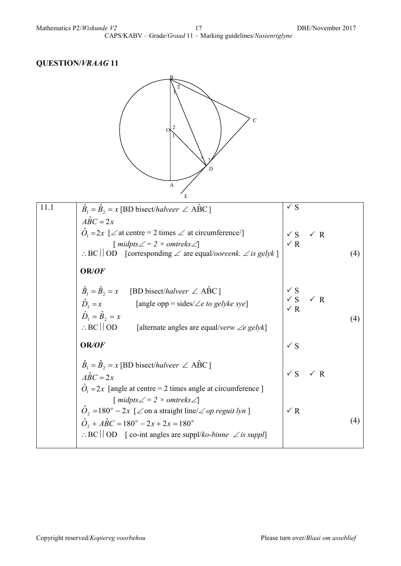

| 11.1                        | $B_1 = B_2 = x$ [BD bisect/halveer $\angle$ ABC]                                                                     | $\sqrt{S}$     |                       |     |
|-----------------------------|----------------------------------------------------------------------------------------------------------------------|----------------|-----------------------|-----|
| $\angle ABC = 2x$           |                                                                                                                      |                |                       |     |
|                             | $\hat{O}_1 = 2x$ [ $\angle$ at centre = 2 times $\angle$ at circumference/]                                          | $\checkmark$ S | $\checkmark$ R        |     |
|                             | $\lceil$ midpts $\angle = 2 \times$ omtreks $\angle$                                                                 | $\times R$     |                       |     |
|                             | $\therefore BC \mid \text{OD} \quad \text{[corresponding} \angle \text{ are equal/}ooreenk. \angle \text{ is gelyk}$ |                |                       | (4) |
| OR/OF                       |                                                                                                                      |                |                       |     |
|                             | $\hat{B}_1 = \hat{B}_2 = x$ [BD bisect/halveer $\angle$ ABC]                                                         | $\checkmark$ S |                       |     |
|                             | $\hat{D}_1 = x$ [angle opp = sides/ $\angle e$ to gelyke sye]                                                        | $\sqrt{R}$     | $\sqrt{S}$ $\sqrt{R}$ |     |
| $\hat{D}_1 = \hat{B}_2 = x$ |                                                                                                                      |                |                       | (4) |
|                             | $\therefore BC \mid \mid OD$ [alternate angles are equal/verw $\angle e$ gelyk]                                      |                |                       |     |
| OR/OF                       |                                                                                                                      | $\sqrt{S}$     |                       |     |
|                             | $\hat{B}_1 = \hat{B}_2 = x$ [BD bisect/halveer $\angle$ ABC]                                                         |                |                       |     |
| $\angle ABC = 2x$           |                                                                                                                      | $\sqrt{S}$     | $\sqrt{R}$            |     |
|                             | $\ddot{O}_1 = 2x$ [angle at centre = 2 times angle at circumference]                                                 |                |                       |     |
|                             | $\lceil$ midpts $\angle = 2 \times$ omtreks $\angle$                                                                 |                |                       |     |
|                             | $\hat{O}_2$ =180° – 2x [ $\angle$ on a straight line/ $\angle$ op reguit lyn ]                                       | $\times R$     |                       |     |
|                             | $\hat{O}_2 + \hat{ABC} = 180^\circ - 2x + 2x = 180^\circ$                                                            |                |                       | (4) |
|                             | $\therefore BC \mid \text{OD} \mid \text{co-int angles are supply}$ <i>ko-binne</i> $\angle$ <i>is suppl</i>         |                |                       |     |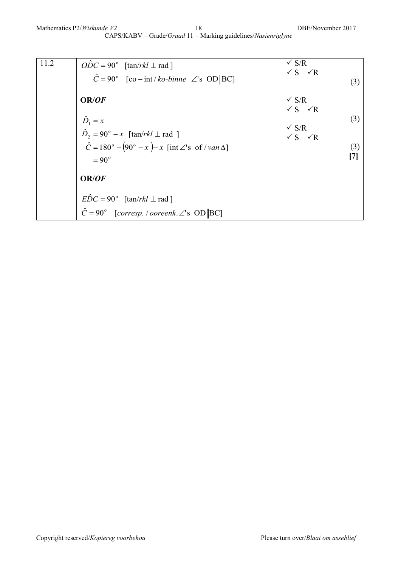| 11.2 | $\overline{ODC} = 90^{\circ}$ [tan/rkl $\perp$ rad]<br>$\hat{C} = 90^{\circ}$ [co – int / ko-binne $\angle$ 's OD   BC]                                                                       | $\sqrt{S/R}$<br>$\sqrt{S}$ $\sqrt{R}$<br>(3)                                                                                                 |
|------|-----------------------------------------------------------------------------------------------------------------------------------------------------------------------------------------------|----------------------------------------------------------------------------------------------------------------------------------------------|
|      | OR/OF<br>$\hat{D}_1 = x$<br>$\hat{D}_2 = 90^\circ - x$ [tan/rkl $\perp$ rad ]<br>$\hat{C} = 180^\circ - (90^\circ - x) - x$ [int $\angle$ 's of /van $\triangle$ ]<br>$= 90^{\circ}$<br>OR/OF | $\sqrt{S/R}$<br>$\sqrt{S}$ $\sqrt{R}$<br>(3)<br>$\begin{array}{c}\n\checkmark\ S/R \\ \checkmark\ S\n\end{array}\n\quad\checkmark\ R$<br>(3) |
|      | $E\hat{D}C = 90^{\circ}$ [tan/rkl $\perp$ rad]<br>$\hat{C} = 90^{\circ}$ [corresp. / ooreenk. $\angle$ 's OD   BC]                                                                            |                                                                                                                                              |